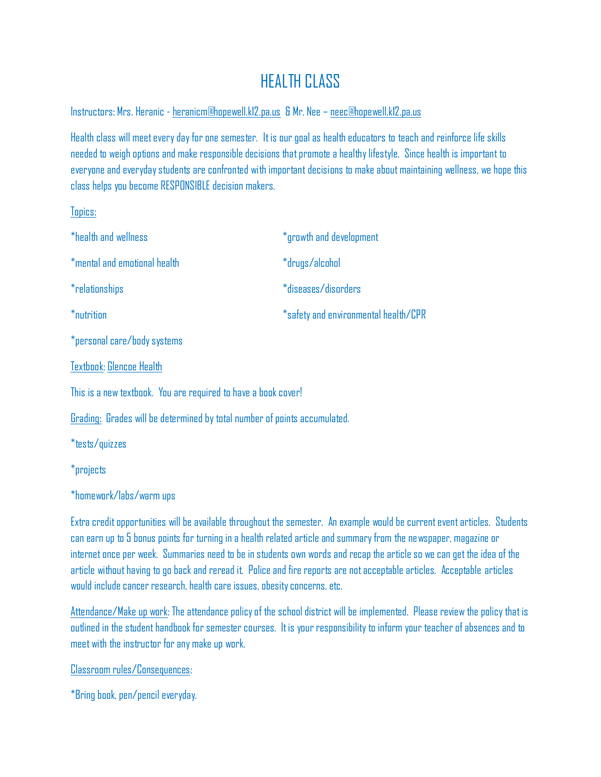## HEALTH CLASS

Instructors: Mrs. Heranic - [heranicm@hopewell.k12.pa.us](mailto:heranicm@hopewell.k12.pa.us) & Mr. Nee – [neec@hopewell.k12.pa.us](mailto:neec@hopewell.k12.pa.us)

Health class will meet every day for one semester. It is our goal as health educators to teach and reinforce life skills needed to weigh options and make responsible decisions that promote a healthy lifestyle. Since health is important to everyone and everyday students are confronted with important decisions to make about maintaining wellness, we hope this class helps you become RESPONSIBLE decision makers.

Topics:

| *health and wellness                                                      | *growth and development              |
|---------------------------------------------------------------------------|--------------------------------------|
| *mental and emotional health                                              | *drugs/alcohol                       |
| *relationships                                                            | *diseases/disorders                  |
| *nutrition                                                                | *safety and environmental health/CPR |
| *personal care/body systems                                               |                                      |
| Textbook: Glencoe Health                                                  |                                      |
| This is a new textbook. You are required to have a book cover!            |                                      |
| Grading: Grades will be determined by total number of points accumulated. |                                      |
| *tests/quizzes                                                            |                                      |

\*projects

\*homework/labs/warm ups

Extra credit opportunities will be available throughout the semester. An example would be current event articles. Students can earn up to 5 bonus points for turning in a health related article and summary from the newspaper, magazine or internet once per week. Summaries need to be in students own words and recap the article so we can get the idea of the article without having to go back and reread it. Police and fire reports are not acceptable articles. Acceptable articles would include cancer research, health care issues, obesity concerns, etc.

Attendance/Make up work: The attendance policy of the school district will be implemented. Please review the policy that is outlined in the student handbook for semester courses. It is your responsibility to inform your teacher of absences and to meet with the instructor for any make up work.

Classroom rules/Consequences:

\*Bring book, pen/pencil everyday.